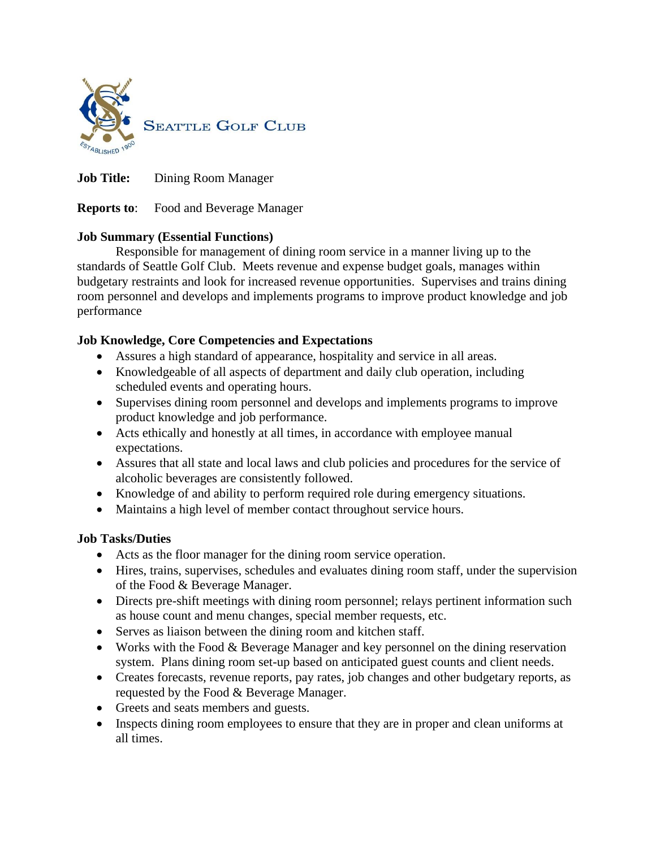

**Job Title:** Dining Room Manager

**Reports to**: Food and Beverage Manager

### **Job Summary (Essential Functions)**

Responsible for management of dining room service in a manner living up to the standards of Seattle Golf Club. Meets revenue and expense budget goals, manages within budgetary restraints and look for increased revenue opportunities. Supervises and trains dining room personnel and develops and implements programs to improve product knowledge and job performance

# **Job Knowledge, Core Competencies and Expectations**

- Assures a high standard of appearance, hospitality and service in all areas.
- Knowledgeable of all aspects of department and daily club operation, including scheduled events and operating hours.
- Supervises dining room personnel and develops and implements programs to improve product knowledge and job performance.
- Acts ethically and honestly at all times, in accordance with employee manual expectations.
- Assures that all state and local laws and club policies and procedures for the service of alcoholic beverages are consistently followed.
- Knowledge of and ability to perform required role during emergency situations.
- Maintains a high level of member contact throughout service hours.

### **Job Tasks/Duties**

- Acts as the floor manager for the dining room service operation.
- Hires, trains, supervises, schedules and evaluates dining room staff, under the supervision of the Food & Beverage Manager.
- Directs pre-shift meetings with dining room personnel; relays pertinent information such as house count and menu changes, special member requests, etc.
- Serves as liaison between the dining room and kitchen staff.
- Works with the Food & Beverage Manager and key personnel on the dining reservation system. Plans dining room set-up based on anticipated guest counts and client needs.
- Creates forecasts, revenue reports, pay rates, job changes and other budgetary reports, as requested by the Food & Beverage Manager.
- Greets and seats members and guests.
- Inspects dining room employees to ensure that they are in proper and clean uniforms at all times.